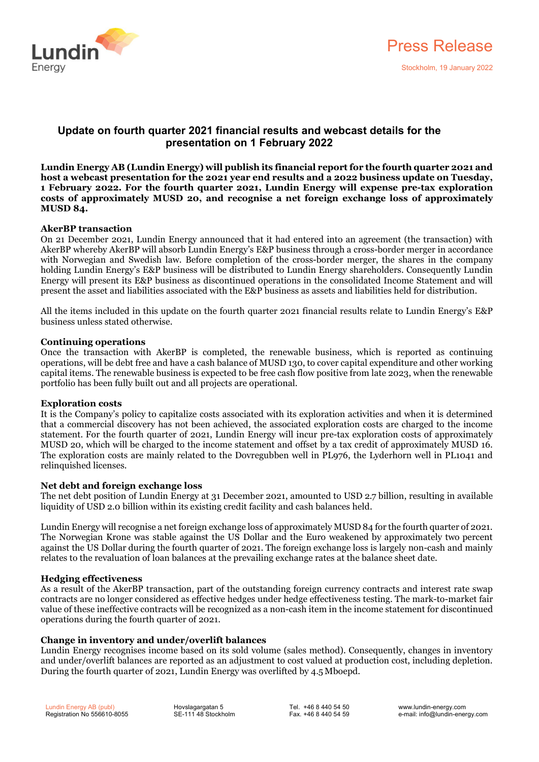

## **Update on fourth quarter 2021 financial results and webcast details for the presentation on 1 February 2022**

**Lundin Energy AB (Lundin Energy) will publish its financial report for the fourth quarter 2021 and host a webcast presentation for the 2021 year end results and a 2022 business update on Tuesday, 1 February 2022. For the fourth quarter 2021, Lundin Energy will expense pre-tax exploration costs of approximately MUSD 20, and recognise a net foreign exchange loss of approximately MUSD 84.**

### **AkerBP transaction**

On 21 December 2021, Lundin Energy announced that it had entered into an agreement (the transaction) with AkerBP whereby AkerBP will absorb Lundin Energy's E&P business through a cross-border merger in accordance with Norwegian and Swedish law. Before completion of the cross-border merger, the shares in the company holding Lundin Energy's E&P business will be distributed to Lundin Energy shareholders. Consequently Lundin Energy will present its E&P business as discontinued operations in the consolidated Income Statement and will present the asset and liabilities associated with the E&P business as assets and liabilities held for distribution.

All the items included in this update on the fourth quarter 2021 financial results relate to Lundin Energy's E&P business unless stated otherwise.

### **Continuing operations**

Once the transaction with AkerBP is completed, the renewable business, which is reported as continuing operations, will be debt free and have a cash balance of MUSD 130, to cover capital expenditure and other working capital items. The renewable business is expected to be free cash flow positive from late 2023, when the renewable portfolio has been fully built out and all projects are operational.

### **Exploration costs**

It is the Company's policy to capitalize costs associated with its exploration activities and when it is determined that a commercial discovery has not been achieved, the associated exploration costs are charged to the income statement. For the fourth quarter of 2021, Lundin Energy will incur pre-tax exploration costs of approximately MUSD 20, which will be charged to the income statement and offset by a tax credit of approximately MUSD 16. The exploration costs are mainly related to the Dovregubben well in PL976, the Lyderhorn well in PL1041 and relinquished licenses.

### **Net debt and foreign exchange loss**

The net debt position of Lundin Energy at 31 December 2021, amounted to USD 2.7 billion, resulting in available liquidity of USD 2.0 billion within its existing credit facility and cash balances held.

Lundin Energy will recognise a net foreign exchange loss of approximately MUSD 84 for the fourth quarter of 2021. The Norwegian Krone was stable against the US Dollar and the Euro weakened by approximately two percent against the US Dollar during the fourth quarter of 2021. The foreign exchange loss is largely non-cash and mainly relates to the revaluation of loan balances at the prevailing exchange rates at the balance sheet date.

### **Hedging effectiveness**

As a result of the AkerBP transaction, part of the outstanding foreign currency contracts and interest rate swap contracts are no longer considered as effective hedges under hedge effectiveness testing. The mark-to-market fair value of these ineffective contracts will be recognized as a non-cash item in the income statement for discontinued operations during the fourth quarter of 2021.

### **Change in inventory and under/overlift balances**

Lundin Energy recognises income based on its sold volume (sales method). Consequently, changes in inventory and under/overlift balances are reported as an adjustment to cost valued at production cost, including depletion. During the fourth quarter of 2021, Lundin Energy was overlifted by 4.5 Mboepd.

Lundin Energy AB (publ) Registration No 556610-8055 Hovslagargatan 5 SE-111 48 Stockholm

Tel. +46 8 440 54 50 Fax. +46 8 440 54 59

www.lundin-energy.com e-mail: info@lundin-energy.com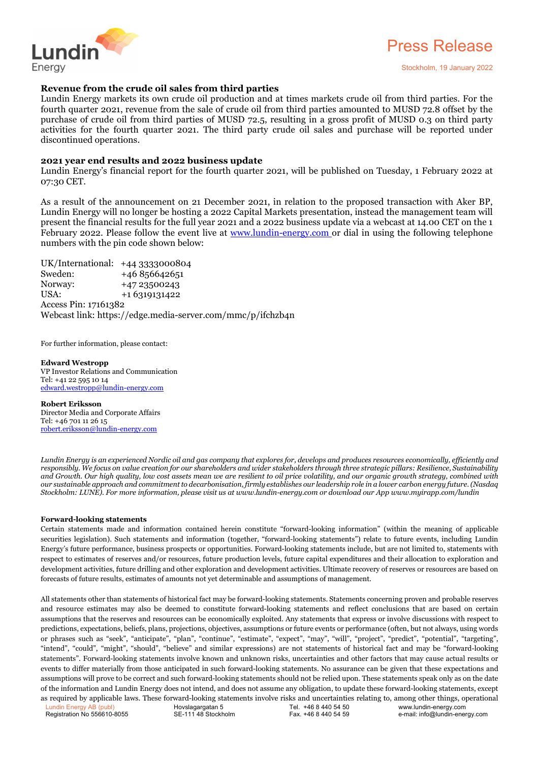

# Press Release

### **Revenue from the crude oil sales from third parties**

Lundin Energy markets its own crude oil production and at times markets crude oil from third parties. For the fourth quarter 2021, revenue from the sale of crude oil from third parties amounted to MUSD 72.8 offset by the purchase of crude oil from third parties of MUSD 72.5, resulting in a gross profit of MUSD 0.3 on third party activities for the fourth quarter 2021. The third party crude oil sales and purchase will be reported under discontinued operations.

### **2021 year end results and 2022 business update**

Lundin Energy's financial report for the fourth quarter 2021, will be published on Tuesday, 1 February 2022 at 07:30 CET.

As a result of the announcement on 21 December 2021, in relation to the proposed transaction with Aker BP, Lundin Energy will no longer be hosting a 2022 Capital Markets presentation, instead the management team will present the financial results for the full year 2021 and a 2022 business update via a webcast at 14.00 CET on the 1 February 2022. Please follow the event live at <u>www.lundin-energy.com</u> or dial in using the following telephone numbers with the pin code shown below:

UK/International: +44 3333000804 Sweden: +46 856642651<br>Norway: +47 23500243 Norway: +47 23500243<br>USA: +1 6319131422 +1 6319131422 Access Pin: 17161382 Webcast link: https://edge.media-server.com/mmc/p/ifchzb4n

For further information, please contact:

### **Edward Westropp**

VP Investor Relations and Communication Tel: +41 22 595 10 14 [edward.westropp@lundin-energy.com](mailto:edward.westropp@lundin-energy.com)

**Robert Eriksson** Director Media and Corporate Affairs Tel: +46 701 11 26 15 [robert.eriksson@lundin-energy.com](mailto:robert.eriksson@lundin-energy.com)

*Lundin Energy is an experienced Nordic oil and gas company that explores for, develops and produces resources economically, efficiently and responsibly. We focus on value creation for our shareholders and wider stakeholders through three strategic pillars: Resilience, Sustainability and Growth. Our high quality, low cost assets mean we are resilient to oil price volatility, and our organic growth strategy, combined with our sustainable approach and commitment to decarbonisation, firmly establishes our leadership role in a lower carbon energy future. (Nasdaq Stockholm: LUNE). For more information, please visit us at www.lundin-energy.com or download our App www.myirapp.com/lundin*

### **Forward-looking statements**

Certain statements made and information contained herein constitute "forward-looking information" (within the meaning of applicable securities legislation). Such statements and information (together, "forward-looking statements") relate to future events, including Lundin Energy's future performance, business prospects or opportunities. Forward-looking statements include, but are not limited to, statements with respect to estimates of reserves and/or resources, future production levels, future capital expenditures and their allocation to exploration and development activities, future drilling and other exploration and development activities. Ultimate recovery of reserves or resources are based on forecasts of future results, estimates of amounts not yet determinable and assumptions of management.

All statements other than statements of historical fact may be forward-looking statements. Statements concerning proven and probable reserves and resource estimates may also be deemed to constitute forward-looking statements and reflect conclusions that are based on certain assumptions that the reserves and resources can be economically exploited. Any statements that express or involve discussions with respect to predictions, expectations, beliefs, plans, projections, objectives, assumptions or future events or performance (often, but not always, using words or phrases such as "seek", "anticipate", "plan", "continue", "estimate", "expect", "may", "will", "project", "predict", "potential", "targeting", "intend", "could", "might", "should", "believe" and similar expressions) are not statements of historical fact and may be "forward-looking statements". Forward-looking statements involve known and unknown risks, uncertainties and other factors that may cause actual results or events to differ materially from those anticipated in such forward-looking statements. No assurance can be given that these expectations and assumptions will prove to be correct and such forward-looking statements should not be relied upon. These statements speak only as on the date of the information and Lundin Energy does not intend, and does not assume any obligation, to update these forward-looking statements, except as required by applicable laws. These forward-looking statements involve risks and uncertainties relating to, among other things, operational

Lundin Energy AB (publ) Registration No 556610-8055 Hovslagargatan 5 SE-111 48 Stockholm Tel. +46 8 440 54 50 Fax. +46 8 440 54 59

www.lundin-energy.com e-mail: info@lundin-energy.com